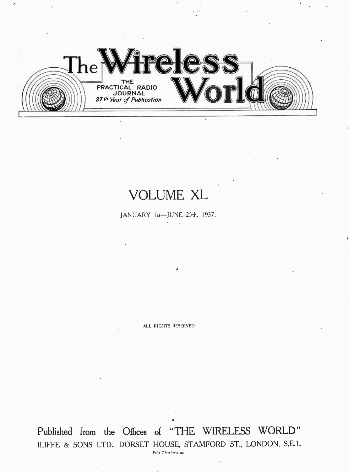

# VOLUME XL

### JANUARY 1st-JUNE 25th, 1937.

#### ALL RIGHTS RESERVED

Published from the Offices of "THE WIRELESS WORLD" ILIFFE & SONS LTD., DORSET HOUSE, STAMFORD ST., LONDON, S.E.1. Price Threepence net.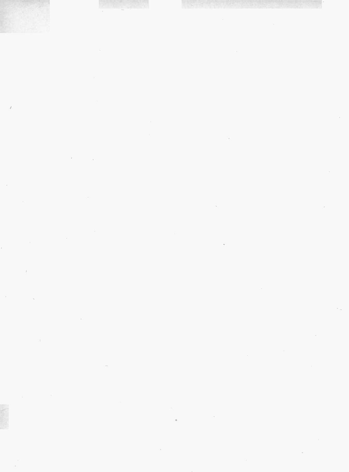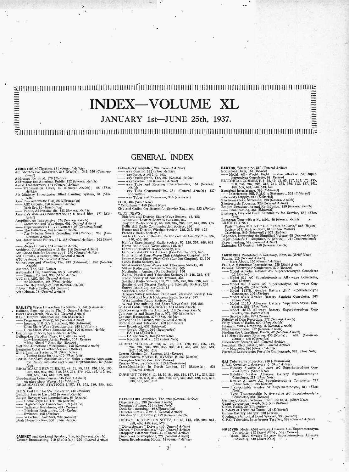! IIIIII -` INDEX-VOLUME XL

JANUARY 1st-JUNE 25th, 1937.

=;( I¡ IIIIIIIIIII IIIIIIIIIIIIIIIIIIII IIIIIIIIIIIIIIIIIIIIIIIIIIIIIIIIIIIIIIIIIIIIIIIIIIIIIIIIIIIIIIIIIIIIIIIII9 IiiIIIIIIIIIIIIIIIIIIIIIiIIIiIIIIIIIIIIiIIIIiIIIIIIIIIIIIIIIII=

**ACOUSTICS** of Theatres, 131 (General Article)<br>AC Short-Wave Converter, 318 (Notice) ; 342, 366 (Construc-

tional)<br>
Addresses Required, 570 (Notice)<br>
Addressing the American Public, 122 (General Article) -<br>
Aerial Transformers, 484 (General Article) ; 88 (Short<br>
- Transmission Lines, 32 (General Article) ; 88 (Short<br>
- Article) Article)<br>
Air Ministry Investigates Blind Landing System, 31 (Short Nine and School)

Article)<br>
Air Ministry Investigates Blind Landing System, 31 (Short<br>
More Note)<br>
American Automatic Dial, 88 (Illustration)<br>
— ASC Circuits, 296 (General Article)<br>
— Desk Set, 89 (Illustration)<br>
— Public, Addressing the, 1 Public, Addressing the, 122 (General Article)<br>America's Wireless Demonstrations; a novel idea, 177 (Edi-<br>
Amplifier, An Inexpensive, 574 (General Article)<br>
- Correction and Waveform, 602 (General Article)<br>
- Experimenter'

- 
- 
- Amplifier, An Inexpensive, 574 (General Article)<br>  $\longrightarrow$  Correction and Waveform, 602 (General Article)<br>  $\longrightarrow$  Experimenter's IF, 77 (Notice) ; 96 (Constructional)<br>  $\longrightarrow$  The Deflection, 299 (General Article)<br>  $\longrightarrow$  The Wirele

Anti- Interference Filters, 454, 468 (General Article) ; 563 (Short The Wireless World Recording, 256 (Notiation Article)<br>Anti-Interference Filters, 454, 468 (General Article)<br>Note)<br>-Noise Circuits, 154 (General Article)<br>Architect, Collaborating with the, 118 (General

Architect, Collaborating with the, 118 (General Article)<br>Are Knobs Safe for Democracy? 200 (General Article)<br>ASC Circuits, American, 296 (General Article)<br>ATC Systems, 177 (General Article)<br>Atmosphere and Wireless, The, 21 Atmosphere and Wireless, The, 219 (Editoria<br>Atmosphere and Wireless, The, 219 (Editoria<br>Autocar, The, 427 (Notice)<br>Automatic Dial, American, 88 (Illustration)<br>— Tuning Control, 309 (Short Article)<br>— Tor Motorists, 488 (Sho

- 
- 

**BAILEY'S** Wave Interaction Experiments, 147 (Editorial)<br>Balkans, Broadcasting in The, 9 (General Article)<br>Band-Pass Circuit, New, 414 (General Article)<br>B.B.C. Empire Broadcasting, 365 (Editorial)<br>------------------------Ultra-Short-Wave Broadcasting, 195 (Editorial)<br>
Ultra-Short-Wave Broadcasting, 195 (Editorial)<br>
Deginnings of AVC, 599 (General Article)<br>
Beginnings of AVC, 599 (General Article)<br>
Belling-Lee Flat-Pin Plugs, 451, 495 (Revi

- 
- 

- BROADCASTING STATIONS LIST, 18, 162, 236, 380, 452,<br>B.T.S. Goil<br>B.T.S. Coil Unit for SW Converter, 410 (*Review*) Bulgin State Cap Lampholders, 63 (Review) Building Sets to Last, 462 (*General Article*) Bulgin Bayonet-Cap Lampholders, 63 (*Review*) Indicator Resistance, 427 (*Review*) Indicator Resistance, 427 (*Review*) Indicator Res
- Building Sets to Last, 462 (General Article)
- Precision Resistances, 107 (Review) Switches, 495 (Review) Waveband Switches, 209 (Review) Bush House Station, 560 (Short Article)
- 
- 
- 
- 
- CABINET and the Loud Speaker, The, 90 (General Article) Canned Broadcasting, 219 (Editorial) ; 220 (General Article)

# GENERAL INDEX

**CENERAL INDEX**<br>
Cathode-ray Amplifier, 299 (*General Article*)<br>
Tray Control, 532 (*Short Article*)<br>
Tray Issue, April 2nd, 1937<br>
Tay Screens, 336 (*General Article*)<br>
Tray Screens, 336 (*General Article*)<br>
Tray Tube and - Article) ---ray Tube and Receiver Characteristics, 151 (*General* Article) ; 427<br>--ray Tube Characteristics, 331 (*General Article*) ; 427<br>(*Correction*) ---ray Tubes and Television, 315 (*Editorial*)<br>---ray Tubes and Television, 3

CCIR, 485 (*Short Note*)<br>'' Cellophane,'' 459 (*Short Note*)<br>City and Guilds Certificates for Service Engineers, 553 (*Notice*)

ELUB NEWS :<br>
Bideford and District Short-Wave Society, 43, 455<br>
Cardiff and District Short-Wave Club, 347<br>
Croydon Radio Society, 65, 159, 215, 265, 307, 347, 396, 455<br>
Eblis Hill Radio Communication Society, 400<br>
Exeter a

276, 455, 583<br>Halifax Experimental Radio Society, 65, 159, 307, 396, 605<br>Hariot Radio Club (Greenwich), 145, 215<br>Ilford and District Radio Society, 265<br>International DN'ers Ailiance (London Chapter), 396<br>International Sho

Components and Spare Parts, 573, 596 (Editorial)<br>Contrast Expansion, 378 (Short Article)<br>Copyright and Licence, 206 (General Article)<br>Coronation and Television, 483 (Editorial)<br>—— Broadcast, 437 (Editorial)<br>—— Graph, Ghent

Copyright and Licence, 206 (General Article)<br>
Coronation and Television, 483 (Editorial)<br>
- Broadcast, 437 (Editorial)<br>
- Graph, Ghent, 546 (Illustration)<br>
- PA, 413 (Editorial)<br>
- PA Contracts, 459 (Short Note)<br>
- Records

- 
- CORRESPONDENCE, 23, 47, 92, 115, 170, 191, 216, 242,<br>
264, 284, 308, 338, 350, 383, 411, 458, 481, 503, 524,<br>
547, 566, 590, 614<br>
Correx Kitchen Call System, 263 (Review)<br>
The Cossor Valves, MS/Pen B, MVS/Pen B, 557 (Revi
- 

- 
- CURRENT TOPICS, 11, 35, 59, 81, 105, 124, 157, 181, 203, 223, 253, 288, 303, 319, 362, 373, 397, 420, 450, 480, 491, 513, 533, 561, 585, 612

**DEFLECTION** Amplifier, The, 299 (General Article)<br>Degeneration, 238 (General Article)<br>Dennian's Future, 521 (Short Note)<br>Desk Set, American, 89 (Illustration)<br>Disc-Recording Fidelity, 272 (General Article)<br>Disc-Recording DISTANT RECEPTION NOTES, 10, 58, 113, 169, 202, 261, G<br>
298, 409, 448, 440, 576<br>
"Distortionless" Driver, 430 (*General Article*)<br>
Driver, "Distortionless," 430 (*General Article*)<br>
Dropping Filament Volts, 45 (*General Ar* 

 $3'$ 

EARTHS, Water -pipe, 559 (General Article)

- **EARTHS,** Water-pipe, 559 (*General Article*)<br>Eddystone Dials, 161 (*Review*)<br>—— Model All World Eight 8-valve all-wave AC super-<br>heterodyne Consolette, 64 (*Review*)<br>EDITORIAL.COMMENT, 1, 25, 49, 73, 95, 117, 147, 173,
- -
	-
	-

Electricity Supply, 245 *(Editorial)*<br>Electromagnetic Screening, 198 *(General Article)*<br>Electrostatic Focusing, 328 *(General Article)*<br>Empire Broadcasting, 365 *(Editorial)*<br>—— Broadcasting, 365 (E*ditorial)*<br>Engineers,

European Tour with a Portable, 30 (General Article)<br>EXHIBITIONS: Paris (General Article)<br>Paris "Salon de T.S.F." and "Foire de Paris," 528 (Report)<br>Society of British Aircraft, 615 (Short Review)<br>Television, 549 (Editorial

#### FACTORIES Prohibited in Germany, New, 34 (Brief Note)

- FAGTORIES Prohibited in Germany, New, 34 (Brief Note)<br>Fading, 110 (General Article)<br>Teading, 110 (General Article)<br>Fault, A Mysterious Intermittent, 535 (Short Article)
- Ferranti Electrolytic Condensers, 570 (Review) Model Arcadia 4 -Valve AC Superheterodyne Consolette 12 (Review) Model 837 AC Superheterodyne All wave Consolette,
- 
- Model Arcadia 4-Valve AC Superheterodyne Consolette,<br>
12 (Revew)<br>
 Model 837 AC Superheterodyne All wave Consolette,<br>
 S82 (Revew)<br>
 Model 1237B, 4 -valve Battery QPP Superheterodyne<br>
 Model 1237B, 4 -valve Battery
- 
- 
- Model 883 3-valve AC Superhetodyne All wave Consoletie, 402 Soletie, 402 Short Notel<br>
Model 1237B, 4-valve Battery QPP Superheterodyne<br>
Consolette, 308 (Keview)<br>
Model 1237B, 4-valve Battery Straight Consolette, 263<br>
(Sh
- 
- 
- 
- 
- 
- 5-15 Metre Battery Receiver, 435 (Notice) : 438 (Construction)<br>
tional): 480 (Correction)<br>
Fluorescent Screens, 336 (General Article)<br>
Focusing, Electrostatic, 328 (General Article)<br>  $-\frac{\text{Magnetic, 320}}{\text{Furzchild. Iaborotories Portable Oscillography}}$ , 32

GAS Tube Surge Protector, 290 (Illustration)

GAS Tube Surge Protector, 290 (Illustration)<br>
G.E.C. Coventry Laboratory, 5 (Short Article)<br>
- Fidelity 8-valve All - wave AC Superheterodyne Consolette, 217 (Short Note)<br>
- Fidelity 6 -valve All-wave Battery Superheterod

Consolette, 217 (Short Note) -6 -valve All-wave AC Superheterodyne Consolette, 217 -6 -valve AC Superheterodyne Consolette, 217 (Short Note) ; 228 (Review) -6 -valve AC Superheterodyne, 217 (Short Nate) - value AC Superhet

- Note) Type Transportable 5, five -valve AC Superheterodyne Consolette, 384 (Review) Germany, Radio Factories Prohibited in, 34 (Short Note) Ghent Coronation Graph, 546 (Illustration) Globe, Radio, 39 (Illustration) Glossary of Technical Terms, 95 (Editorial) Gnome Battery Charger, 330 (Review) Goodman's Elliptical Loud Speaker, 330 (Review) G.P.O. Television Interference Test Set, 398 (General Article)

HALCYON Model A581 4 -valve All -wave A.C. Superheterodyne **HALCYON** Model A581 4-valve All-wave A.C. Superheterodyne<br>Consolette, 252 (Short Note); 562 (Review)<br>--- Model B691 6-valve Battery Superheterodyne All-wave<br>Consolette, 543 (Short Note)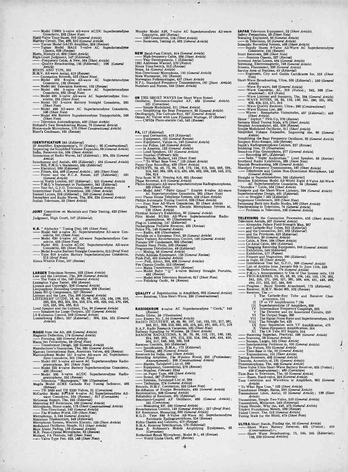— Model U6801 5-valve All-wave AC/DC Superheterodyne<br>
Consolette, 252 (Short Note)<br>
Hard-Valve Time-Bases, 316 (General Article)<br>
Hartley Circuit, The, 486, 510 (General Article)<br>
— Turner Model GA125 Amplifier, 209 (Revie - High -Court Judgment, 147 (Editorial) -Frequency Cable, A New, 584 (Short Article) Q

- man Quality Broadcasting, 195 (Editorial) ; 196 (General<br>
HINTS AND TIPS, 501<br>
H.M.V. All-wave Aerial, 410 (Review) MODEL<br>
 Coronation Records, 532 (Short Note) Model<br>
 Model 482 6 -valve All-wave AC Superheterodyne Ni
- H.M.V. All wave Aerial, 410 (Review)<br>
 Coronation Records, 532 (Short Note)<br>
 Model 402 6 valve All -wave AC Superheterodyne<br>
Consolette, 182 (Review)<br>
 Model 404 5 -valve All -wave AC Superheterodyne<br>
Consolette, 285 Consolette, 182 (Review)<br>
Model 901 Television Receiver, 102 (Review)<br>
Model 494 5-valve All-wave AC Superheterodyne<br>
Consolette, 285 (Brief Note)<br>
Model 495 5-valve All-wave AC Superheterodyne Consolette, 285 Solette, 285
- 
- 
- 
- Model 167 3-valve Battery Straight Consolette, 285<br>
(Short Note)<br>
1988 (Short Note)<br>
598 (Short Note)<br>
 Shogh (Short Note)<br>
 Model 464 Battery Superheterodyne Transportable, 598<br>
 (Short Note)<br>
 Televison Autoradiogr <del>Television Autoradiogram, 420 (Short Article)</del><br>Holland's New Broadcasting House, 78 (General Article)<br>Home-made Microphone, 176 (Short Constructional Article)<br>Hunt's Condenser, 161 (Review)
- 

**IDENTIFICATION** 245 (*Editorial*)<br>
IF Amplifier, Experimenter's, 77 (Notice); 96 (Constructional) –<br>
Improving the Simplified Volume Expander, 68 (*General Article*) –<br>
India, Receivers for, 584 (*Short Article*)<br>
Interac

India, Receivers for, 584 (Short Article)<br>
Interaction of Radio Waves, 147 (Editorial) ; 204, 224 (General  $A$ <br>
Interference and Aerials, 483 (Editorial) ; 484 (General Article)  $\overline{B}$ <br>
Bill, P.M.G.'s Statement, 385 (Edi Interference and Aerials, 483 (Editorial) ; 484 (General Article) ; Filler, P.M.G., Statement, 385 (Editorial)<br>  $\overline{\phantom{B}}$  Electrical, 389 (Editorial)<br>  $\overline{\phantom{B}}$  Filters, 454, 468 (General Article) ; 563 (Short Note)<br>

- 
- 
- 
- 
- 

Electrical, 389 (Editorial)<br>
Filters, 464, 468 (General Article); 563 (Short Note)<br>
Filters, 464, 468 (General Article); 563 (Short Note)<br>
(General Article)<br>
(General Article)<br>
(General Article)<br>
P.M.G.'s Statement in Parl

**JOINT** Committee on Materials and Their Testing, 420 (S*hort* Note)<br>Judgment, High Court, 147 (*Editorial*)

- 
- Judgment, High Court, 147 (Editorial)<br> **K.B.** "Alphadex " Tuning Dial, 591 (Short Note)<br>
 Model 640 4-valve AC Superheterodyne All-wave Con-<br>
producte, 591 (Short Note)<br>
 Model 630 5-valve AC All-wave Superheterodyne Co
- 
- Model 630 5-valve AC All-wave Superheterodyne Consolette, 455 (Short Note)<br>
 Model 632, 5-valve AC/DC Superheterodyne All-wave<br>
Consolette, 591 (Short Note)<br>
 Model 3-valve Battery Straight Consolette, 313 (Brief Note)<br>
- 
- 

- 
- 
- 
- 
- 
- 

**LARGER** Television Screens, 523 (*Short Article*)<br>  $\frac{1}{2}$  and the Listerner, The, 206 (*General Article*)<br>  $\frac{1}{2}$  The Voice of the, 140 (*General Article*)<br>
Lexington Valve Tester, 589 (*Review*)<br>
Linguaphone Recor

- 
- MAGIC from the Air, 498 (General Article)
- 
- 
- 
- 
- 
- 
- 
- **MAGIC** from the Air, 498 (*General Article*) Representing the Frecautions, 290 (*General Article*) Representing Set Precessions, 290 (*General Article*) Mains Set Precessions, 290 (*General Article*) Representing Transfo
- 
- 
- Model 567 5-valve all-wave AC Superheterodyne Radio-<br>
gramophone, 301 (*Shote Note*)<br>
Model 222 4-valve Battery Superheterodyne Consolette,<br>
432 (*Review*)<br>
 Model 395 5-valve AC/DC Superheterodyne Radio-<br>
gramophone, 3
- wave Consolette, 534 (Review); 617 (Correction)<br>McGowan Report, The, 245 (Editorial)<br>Measuring RF Resistance, 580 (General Article)<br>Microphone, Home-made, 176 (Short Constructional Article)<br>—— Non-Directional, 142 (General
- 
- 
- 
- 
- 
- 
- 
- 

Murphy Model A38, 7 -valve AC Superheterodyne All-wave Consolette, 400 (Review) Murphy Model A36, 7-valve AC Superheterodyne<br>
Consolette, 400 (*Review*)<br>
-- 1937 Consolettes, 104 (*Short Article*)<br>
Receivers, Testing of, 462 (*General Article*)

**SAFAR** Television Equipment, 53 (Short Article)<br>Safety Precautions, 29 (Short Note)<br>Scanning Explained, 50 (General Article)<br>— in Television, 26 (General Article)<br>Scientific Recording System, 488 (Short Article)

----- Engineers, City and Guilds Certificates<br>
Notel<br>
Short-Wave Broadcasting, Ultra, 505 (Editorial<br>
---Wave By-ways, 346 (General Article)<br>
----Wave Converter, AC, 318 (Notice);<br>
structional); 419 (Notes)

Simpson Roto-Ranger, 539 (Review)<br>Smith's Radiogramophone Cabinet, 227 (Review)<br>Soldering Iron, 70 (Illustration)<br>Sound-on-Film Gramophone, 277 (General Article)<br>—— Recording 267, (Editorial)<br>—— Sales " Super Auditorium "

Safety Precautions, 29 (Short Note)<br>
Scanning Explained, 50 (General Article)<br>
Scenario Elevision, 28 (General Article)<br>
Scientific Recording System, 488 (Short Article)<br>
Scientific Recording System, 488 (Short Article)<br>
C

Article)<br>
Wave By-ways, 346 (General Article)<br>
Wave Converter, AC, 318 (Notice); 342, 366 (Converter)<br>
Wave Converter, AC, 318 (Notice); 342, 366 (Converter)<br>
Wave Listener and Sunspots, The, 394 (General Article)<br>
WAVE NO

---- Sales " Super Auditorium" Loud Speaker, 46 (Review)<br>
Southend Radio Exhibition, 265 (Short Note)<br>
Southend Radio Exhibition, 265 (Short Note)<br>
Standard Frequency Transmissions, 167 (Short Article)<br>
Standard Frequency

**TELEVISING** the Coronation Procession, 456 (Short Article)<br>
TELEVISING the Coronation Procession, 456 (Short Article)<br>
Television Aerials, 507 (General Article)<br>
Alexandra Palace Field-Strength Map, 387<br>
and Cathode-Ray

- and the Provinces, 413 (A Regional)<br>- Cable, A New, 584 (Short Article)<br>- Cable, A New, 584 (Short Article)<br>- Co-Axial Cable, 389 (Editorial)<br>- Designing Receiving Equipment, 348 (General Article)<br>- Exhibition, 549 (Edit

- Finance and Stagnation, 295 (Editorial) - in Italy, 53 (Short Article) - Interference Test Set, G.P.O., 398 (General Article) - List of Articles from January 8th to June 11th, 598 - Magnetic Deflection, 174 (General Article) - P.M.G.'s Announcement re Use of One System only, 153 PROGRAMMES, 10, 43, 58, 80, 104, 145, 150, 176, 202, 242, 256, 271, 298, 337, 361, 369, 409, 431, 448, 466,

---- P.M.G.'s Announcement *re* Use of One System only, 153<br>
PROGRAMMES, 10, 45, 58, 80, 104, 145, 150, 176, 202,<br>
242, 256, 271, 298, 337, 381, 389, 409, 413, 448, 466,<br>
--- Progress: Baird System Ahandoned, 173 (*Editori* 

Scanning, 26 (General Article) - Screens, Larger, 523 (Short Article) - - Synchronising Problems in, 100 (General Article) The Future, 370 (General Article) - Time -Base in the, 50 (General Article) Transmissions, 153 (Short Article) Testing Receivers, 462 (General Article) Theatres, Acoustics of, 131 (General Article) Thereminophone, The, 498 (General Article) Three -Valve Ultra -Short-Wave Battery Receiver, 435 (Notice) ; 438 (Constructional); 480 (Correction) Time - -Base in Television, The, 50 (General Article) -Bases, Hard -valve, 316 (General Article) Tone Correction and Waveform in Amplifiers, 602 (General Article) " To What Base Uses," 133 (Short Article) Transformer Design, Mains, 593 (General Article)

Transmission Lines, Aerial, 32 (General Article); 188 (Short<br>Article)<br>Transmitter, Simple Two-Valve, 550 (General Article)<br>Transmitters, Miniature, 549 (Editorial)<br>Triode Hexode, Why the, 446, 472 (General Article)<br>Triplet

Tuned Circuit, The, 212 (UPRETAINATIVE)<br>Tuning Scale for the Blind, 479 (Short Note)<br>**ULTRA-Short Bands, Finding the, 42 (General Article)**<br>**ULTRA-Short Wave Battery Receiver, 435 (Notice)**; 438<br>
(Constructional)<sup>1</sup><br>
-----

- 
- 
- 
- 
- 

NEW Band-Pass Circuit, 414 (General Article)<br>
WEW Band-Pass Circuit, 414 (General Article)<br>
Pigh-frequency Cable, 584 (Short Article)<br>
Year Developments, 1 (Editorial)<br>
Nivex Time Switch, 312 (Review)<br>
Nivex Time Switch, 3

- ON THE SHORT WAVES (see Short Wave Notes) Oscillator, Resistance- Coupled AF, 465 (General Article)
- **ON** THE SHORT WAVES (see Short Wave Notes)<br>
Oscillator, Resistance-Coupled AF, 465 (*General Article*)<br>
 Simplifying the Beat Frequency, 82 *(General Article*)<br>
 Simplifying the Beat Frequency, 82 *(General Article*) - Simple Modulated, 311 (Short Article)<br>---- Simplifying the Beat Frequency, 82 (General Article)<br>Oscillograph, The Cathode-Ray, 327 (General Article)<br>Osram AC Valves with Low Filament Wattage, 37 (Review)<br>----------------
- 
- 
- **PA, 117 (Editorial)**<br>  **and Coronation, 413 (Editorial)**<br>
 and Coronation, 413 (*General Review*)<br>
 Equipment, Valves in, 146 (*General As*)
- 
- 
- 
- 
- 
- 
- **PA,** 117 (Editorial)<br>
and Coronation, 413 (Editorial)<br>
and Coronation, 413 (Editorial)<br>
Equipment, 125 (General Article)<br>
Equipment, 126 (General Article)<br>
for Police, 140 (General Article)<br>
and Speakers, 137 (General Ar
- 
- 
- Model A847 "Baby Grand " Empire 8-valve All-wave<br>
 Model A847 "Baby Grand " Empire 8-valve All-wave<br>
 C Superheterodyne Consolette, 285 (Short Article)<br>
Philips Automatic Tuning Control, 399 (Short Article)<br>
 Four New
- 
- 
- 
- 
- Framophone, 80 (Illustration)<br>
Plug-in Listening, 147 (Editorial)<br>
Pocketphone Portable Receiver, 435 (Review)<br>
Pocketphone Portable Receiver, 435 (Review)<br>
 Radio, 408 (Illustration)<br>
Portable on a European Tour, 30 (Gen
	-
- 
- 
- Poste Parisien Reverberation Control, 148 (General Article)<br>Premier SW Coodensers, 606 (Review)<br>Programme Distribution, 49 (Editorial)<br>Programme Distribution, 49 (Editorial)<br>—— Mixing, 56 (General Article)<br>Public Address E

**RADIOCHRON** 4-valve AC Superheterodyne "Clock," 545<br>
Radio Globe, 39 (Illustration)<br>
— Enemy No. 1, 54 (*General Article*)<br>
RADIO INDUSTRY, 46, 69, 80, 107, 141, 155, 191, 217, 261,<br>
RADIO INDUSTRY, 46, 69, 80, 107, 141,

Blanks, Tabulated List of, 289<br>
Ti Equipment, Commercial, 278 (*Review*)<br>
Ti Equipment, February 22nd<br>
Ti Number, February 22nd<br>
Ti Theory Tape, 488 (*Short Article*)<br>
Systems, Tabulated List of, 289<br>
Records, H.M.V. Coron

R.M.A. Receiver Specification, 173 (Editorial)<br>
Ross & Robinson's Mobile Amplifying Equipment, 63<br>
Rothermel-Brush Microphone, Model B-1, 46 (*Review*)<br>
---- World Globe Clock, 487 (*Review*)

4

Testing, 482 (General Article)<br>
Receivers for India, 584 (Short Article)<br>
Recording Amplifier, The Wireless World, 256 (Fannouncement); 268 (Constructional Article)<br>
— Blanks, Tabulated List of, 289<br>
— Equipment, Commercia

- 
- 
- 
- 
- Push -Pull, 424 (General Article) -Pull, About, 368, 408 (General Articles) Public Address Equipment, 125 (General Review)<br>
Push-Pull, 424 (General Article)<br>
— - Pull, About, 358, 406 (General Articles)<br>
Pye Chassis Cradle, 312 (Review)<br>
— Mains Transformer, 107 (Review)<br>
— Model Baby " Q " 4 -val Pye Chassis Cradle, 312 (Review)<br>
- Model Baby "Q" 4-valve Battery Straight Portable,<br>
402 (Review)<br>
- Model 4044 Television Receiver, 617 (Short Note)<br>
- Model 4044 Television Receiver, 617 (Short Note)<br>
- Polishing Outfi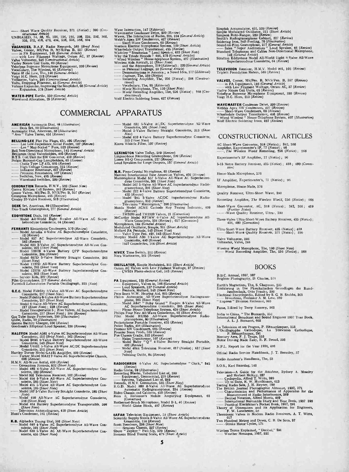Short Wave Quality Receiver, 371 (Notice) ; 390 (Con-<br>structional Article)<br>UNBIASED, 14, 36, 85, 106, 156, 192, 208, 232, 292, 302,<br>355, 372, 418, 478, 494, 538, 558, 588, 604

VACANCIES, R.A.F. Radio Research, 585 (Brief Note) 355, 372, 418, 478, 494, 538, 508, 508, 509<br> **VACANCIES**, R.A.F. Radio Research, 585 (*Brief Note*)<br>
Valves, Cosor, MS/Pen B, MVS/Pen B, 557 (*Review*)<br>
— in PA Equipment, 146 (*General Article*)<br>
— with Low Filament Watt

WATER-PIPE Earths, 559 (General Article)<br>Waveband Allocation, 25 (*Editorial*)

Wave Interaction, 147 (*Editorial*)<br>Wavemaster Condenser Drive, 209 (*Review*)<br>Waves, The Interaction of Radio, 204, 224 (*General Article*)

Wave Interaction, 147 (*Editorial*)<br>
Wavemaster Condenser Drive, 209 (*Review*)<br>
Waves, The Interaction of Radio, 204, 224 (*General Article*)<br>
Waves, The Interaction of Radio, 204, 224 (*General Article*)<br>
Signes SW Cond

- tional)

Vocabulary, The, 956 (Notice) ; 268 (Constructional)<br>
Vocabulary, The, 95 (Editorial)<br>
World Microphone, The, 130 (Short Note)<br>
World Recording Amplifier, The, 256 (Notice) ; 268 (Con-<br>
structional)<br>
World Recording Amplif Wolf Electric Soldering Irons, 427 (Review)

# COMMERCIAL APPARATUS

**AMERICAN** Automatic Dial, 88 (Illustration)<br>
Desk Set, 89 (Illustration)<br>
Automatic Dial, American, 88 (Illustration)<br>
" Avo " Valve Tester, 451 (Review)

Automatic Dial, American, 88 (*Illustration*)<br>
"Avo" Valve Tester, 451 (*Review*)<br> **BELLING-LEE** Flat Pin Plugs, 451, 495 (*Review*)<br>
--Lee Low-Inpedance Aerial Feeder, 107 (*Review*)<br>
--Lee ''Mag-Nickel'' Fuse, 523 (*Revi* Bell Non-Directional Microphone, 142 (*General Arti*<br>Benjamin Octal Valveholders, 495 (*Reniew*)<br>B.T.S. Coil Unit for SW Converter, 410 (*Review*)<br>Bulgin Bayonet-Cap Lampholders, 63 (*Review*)<br>-----------------------------

- 
- 
- 
- 
- 

**CORONATION Records, H.M.V., 532 (Short Note)**<br>Cortex Kitchen Call System, 263 (Review)<br>Cossor Valves, MS/Pen B, MVS/Pen B, 557 (Review)<br>Crompton Microphone, 495 (Review)<br>Crosley 37-Valve Receiver, 513 (Illustration)

DESK Set, American, 89 (Illustration) Duo -Track Gramophone, 277 (General Article)

**DESK** Set, American, 89 (*Hlustration*)<br>
Duo-Track Gramophone, 277 (*General Article*)<br> **EDDYSTONE** Dials, 161 (Review)<br> **EDDYSTONE All -World Eight 8-valve All -Wave AC Super-<br>
heterodyne Consolette, 64 (Review)** 

Model All-World Eight 8-valve All-Wave AC Superheterodyne Consolette, 64 (Review)<br>
FERRANTI Electrolytic Condensers, 570 (Review)<br>
Model Arcadia 4 -Valve AC Superheterodyne Consolette,<br>
12 (Review)<br>
12 (Review)

- FERRANTI Electrolytic Condensers, 570 (Review)<br>
Model Arcadia 4-Valve AC Superheterodyne Consolette,<br>
12 (Review)<br>
Model 837 AC Superheterodyne All-Wave Consolette,<br>
582 (Review)
- Model Arcadia<sup>4</sup> +Valve AC Superheterodyne Consolette,<br>
12 (Review)<br>
582 (Review)<br>
582 (Review)<br>
362 (Short Note) Model 833 3 -Valve AC Superheterodyne All-Wave Consolette, 402 (Short Note)<br>
 Model 1237B 4 -Valve Bat
- 
- 
- Model 833 3-Valve AC Superheterodyne All-Wave Con-<br>
solette, 402 (Short Note)<br>
model 1237B 4-Valve Battery QPP Superheterodyne<br>
Consolette, 306 (Review)<br>
Model 837D 4-Valve Battery QPP Superheterodyne<br>
consolette, 363 (Sho

- **G.E.C.** Model Fidelity 8-Valve All-Wave AC Superheterodyne
- 
- Furzehill Laboratories Portable Oscillograph, 323 (Note)<br> **G.E.C.** Model Fidelity 8-Valve All-Wave AC Superheterodyne<br>
Consolette, 217 (Short Note)<br>
Model Fidelity 6-Valve All-Wave Battery Superheterodyne<br>
Postel 6-Valve A

**HALCYON** Model A581 4-Valve AC Superheterodyne All-Wave Goodman's Elliptical Loud Speaker, 330 (Review)<br>
HALGYON Model A581 4-Valve AC Superheterodyne All-Wave<br>
Consolette, 252 (Brief Note); 562 (Review)<br>
Model B691 6-Valve Battery Superheterodyne All-Wave<br>
Consolette, 543 (Sh HALCYON Model A581 4-Valve AC Superheterodyne All-Wave<br>
Consolette, 252 (Brief Note); 562 (Revice)<br>
Model U6801 6-Valve Battery Superheterodyne All-Wave<br>
Consolette, 543 (Short Note)<br>
Model U6801 5-Valve All-Wave AC/DC Sup

Consolette, 543 (Short Note)<br>
Model U6801 5-Valve Ally Wave AC/DC Superheterodyne<br>
Hartley Turner Model GA125 Amplifier, 200 (Review)<br>
Hartley Turner Model GA125 Amplifier, 200 (Review)<br>
Compared Manager Consoletterodyne C

- 
- 
- H.M.V. All-Wave Aerial, 410 (*Review*)<br>
 Coronation Records, 532 (*Show Note*)<br>
 Model 482 6-Valve All-Wave AC Superheterodyne Con-<br>
solette, 182 (*Review*)<br>
 Model 901 Television Receiver, 102 (*Review*)<br>
 Model 494
- Model 495 5-Valve All-Wave AC Superheterodyne Consolette, 285 (Short Note)<br>
solette, 285 (Short Note)<br>
Model 497 Allve Battery Straight Consolette, 285 (Short<br>
Note)<br>
Model 499 All-Wave AC Superheterodyne Consolette,<br>
598
- Model 467 Sylave Battery Straight Consolette, 285 (Short Note)<br>
Notel 499 All-Wave AC Superheterodyne Consolette,<br>
598 (Short Note)<br>
Model 464 Battery Superheterodyne Transportable, 598<br>
(Short Note)<br>
Television Autoradiog
- 

K.B. Alphadex Tuning Dial, 591 (Short Note)<br>
Model 640 4-Valve AC Superheterodyne All-Wave Con-<br>
solette, 591 (Short Note)<br>
Model 630 5-Valve AC All-Wave Superheterodyne Con-<br>
solette, 455 (Short Note)

- 
- 
- **APPARATUS**<br>
--- Model 632 5-Valve AC/DC Superheterodyne All-Wave<br>
--- Model 332 5-Valve AC/DC Superheterodyne All-Wave<br>
---- Model 3-Valve Battery Straight Consolette, 313 (Short<br>
---- Model 610 4-Valve Battery Superheter

LEXINGTON Valve Tester, 589 (*Review*)<br>Linguaphone Recording Gramophone, 209 (*Review*)<br>Lissen HI-Q Components, 227 (*Review*)<br>Loud Speakers for Large Outputs, 137 (*General Article*)

- **M.R.** Piezo-Crystal Microphone, 63 (*Review*)<br>Marconi International Base American Valves, 402 (*Review*) H<br>Marconiphone Model 657 5-Valve All-Wave AC Superhetero- 11 **M.R.** Piezo-Crystal Microphone, 63 (*Review*)<br>Marconi International Base American Valves, 402 (*Review*) Marconiphone Model 567 5-Valve All-Wave AC Superheterodyne Radio<br>- dyne Consolette, 301 (Short Note)<br>- Model 222 4
- 
- 
- 
- 
- Model 567 5-Valve All-Wave AC Superheterodyne Radio-<br>
gramophone, 301 (Short Note)<br>
Model 222 4-Valve Battery Superheterodyne Consolette,<br>
132 (Review)<br>
Model 305 5-Valve AC/DC Superheterodyne Radio-<br>
marge proposed a CME Wave Consolette, 534 (Review); 617 (Correction)<br>
Microphones, 144 (General Article)<br>
Mullard PA Pentode, 143 (Short Note)<br>
Mullard PA Pentode, 143 (Short Note)<br>
— Valve Type Pen. 428, 143 (Short Note)<br>
Murphy Model A36 7-V
- 
- 
- 
- Consolette, 400 (Review) 1937 Consolettes, 104 (Short Article) NIVEX Time Switch, 312 (Review)

### NIVEX Time Switch, 312 (Review)<br>Nora Wattmeter, 161 (Review)

**OSCILLATOR, S**imple Modulated, 311 (S*hort Article*)<br>Osram AC Valves with Low Fila**m**ent Wattage, 37 (Review)<br>----- ÇWS24 Photo-electric Cell, 543 (Review)

- 
- 
- 
- CWS24 Photo-electric Cell, 543 (Review)<br> **PA** Equipment, 125 (General Review)<br>
B<br>
Equipment, Valves in, 146 (General Article)<br>
Coud Speakers, 137 (General Article)<br>
Concot W.W. Hearing Aid, 605 (Review)<br>
Philco Automatic A
- Fentode, Mullard, 143 (Short Note)<br>
Pentode, Mullard, 143 (Short Note)<br>
Pento Scott W.W. Hearing Aid, 605 (Review)<br>
phone, 265 (Short Note)<br>
phone, 265 (Short Note)<br>
 Model A847 "Baby Grand " Empire 8-Valve All-Wave<br>
 AC
- 
- 
- 
- Pocketphone Portable Receiver, 435 (Review)<br>Police Radio, 408 (Illustration)<br>Premier SW Condensers, 605 (Review)<br>Pressler Neon Prods, 539 (Review)
- 
- 
- Police Radio, 408 (*Hlustration*)<br>
Premier SW Condensers, 605 (*Review*) <br>
Pressler Neon Prods, 539 (*Review*) <br>
Pye Chassis Cradle, 312 (*Review*) Model Baby " Q" 4-Valve Battery Straight Portable, Model Baby " Q" 4-Valv - 492 (Review) Model 4044 Television Receiver, 617 (Notice) ; 617 (Short Model Bab<br>
492 (Revie<br>
Model 4044<br>
Note)<br>
Polishing O
- Note)<br>Polishing Outfit, 84 (Review)

RADIOCHRON 4-Valve AC Superheterodyne " Clock," 545<br>| (Review)<br>Radio Globe, 39 (Illustration)

- 
- 
- 
- **RADIOCHRON** 4-Valve AC Superheterodyne "Clock," 545<br>
(*Review*) (*Review*)<br>
Radio Globe, 39 (*Illustration*)<br>
Recording Blanks, Tabulated List of, 289<br>
 Equipment, Commercial, 278 (*Review*)<br>
 Systems, Tabulated List o
- Rothermel -Brush Microphone, Model B -1, 46 (Review)<br>Rothermel -Brush Microphone, Model B -1, 46 (Review)<br>- World Globe Block, 487 (Review)
- 

SAFAR Television Equipment, 53 (Short Article)<br>Scientific Supply Stores 8 Valve All-Wave AC Superheterodyne Consolette, 158 (Review) Scott Receivers, 298 (Short Note) - -Sessions Chassis, 227 (Review) Shure " Zephyr " Pick -Up, 570 (Review) Siemens Blind Tuning Scale, 479 (Short Article)

Simplak Accumulator, 451, 539 (*Review)*<br>Simpson Roto-Ranger, 539 (*Review*)<br>Simpson Roto-Ranger, 539 (*Review*)<br>Soldering Iron, Self-Feeding, 70 (*Illustration*)<br>Soldering Iron, Self-Feeding, 70 (*Illustration*) Sound-on-Film Gramophone, 277 (General Article) - Sales " Super Auditorium " Loud Speaker, 46 (Review) Standard Telephones and Cables Non -Directional Microphone, 142 (General Article) Stratton Eddystone Model All- World-Eight 8 -Valve All-Wave Superheterodyne Consolette, 64 (Review)

TELEVISION Receiver, H.M.V. Model 901, 102 (Review) Triplett Foundation Meters, 589 (Review) Triplett Foundation Meters, 589 (Review), 102 (Review)<br>VALVES, Cossor, MS/Pen. B, MVS/Pen. B, 557 (Review)<br>in PA Equipment, 146 (General Article)<br>in PA Equipment, 146 (General Article)<br>Varley Nicore Coil Units, 63 (Review)

WAVEMASTER Condenser Drive, 209 (Review)

VOIET H.C. HOTH, 213 (Retriew)<br>
WAVEMASTER Condenser Drive, 200 (Review)<br>
WAVEMASTER Condensers, 427 (Review)<br>
Wharfedale Output Transformer, 495 (Review)<br>
"Wharfedale Output Transformer, 495 (Review)<br>
"Wirel Wirelss" Hous

CONSTRUCTIONAL ARTICLES

5-15 Metre Battery Receiver, 435 (Notice) ; 438 ; 480 (Correc-

Recording Amplifier, The Wireless World, 256 (Notice) ; 268 Recording Amplifier, *The Wireless World*, 256 (Notice) ; 268<br>Short-Wave Converter, AC, 318 (Notice) ; 342, 366 ; 419<br>*(Further Notes*)<br>-----Wave Quality Receiver, Ultra-, 390<br>The Mater Constitution of the Constitution

Three -Valve Ultra -Short-Wave Battery Receiver, 435 (Notice) ; 438, 480 (Correction)

Ultra-Short-Wave Battery Receiver, 435 (Notice) ; 438 -Short-Wave Quality Receiver, 371 (Notice) ; 390

Valve Voltmeter, 246<br>
Voltmeter, Valve, 246<br>
Wireless World Microphone, The, 130 (Short Note)<br>
World Recording Amplifier, The, 256 (Notice) ; 268

BOOKS

Earth's Magnetism, The, S. Chapman, 235 Einfuhrung in Die Physikalischen Grundlagen der Rund-

India to China, " The Buzzards, 252<br>International Broadcast and Sound Engineer 1937 Year Book, A. L. J. Bernaert, 603

La Television et ses Progres, P. Hémardinquer, 153 L'Oscillographe Cathodique, La Télévision Cathodique,

Television -A Guide for the Amateur, Sydney A. Moseley S.O.S., Karl Baarslag, 143<br>
Television—A Guide for the Amateur, Sydney A. Moseley<br>
and Herbert McKay, 327<br>
— Cyclopedia, Alfred T. Witts, 399<br>
— Up to Date, R. W. Hutchinson, 613<br>
Testing Radio Sets, J. H. Reyner, 290<br>
The

Testing Radio Sets, J. H. Reyner, 290<br>
The British Journal Photographic Almanac, 1937, 171<br>
The British Journal Photographic Almanac, 1937, 171<br>
Leasurement of Radio Interference, 369<br>
Decibel Notation, Alfred Morris, 469<br>

F. W. Lanchester, 68 Thermionic Valves in Modern Radio Receivers, A. T. Witts, 617 Two Hundred Metres and Down, C. B. De Soto, 37 - -Stroke Motor Cycles, 171 Wireless Terms Explained, " Decibel," 291 - Weather Messages, 1937, 222

fundtechnik, Otto Franke, 330<br>Electrical Encyclopedia, Edited by S. G. B. Stubbs, 363<br>---- Inventions, Professor A. M. Low, 330<br>" Express " Division Reckoner, 363

AC Short-Wave Converter, 318 (Notice) ; 342, 366<br>Amplifier, Experimenter's IF, 77 (Notice) ; 96<br>-, The Wireless World Recording, 256 (Notice) ; 268

Experimenter's IF Amplifier, 77 (Notice) ; 96

IF Amplifier, Experimenter's, 77 (Notice).; 96

Quality Receiver, Ultra -Short Wave, 390

B.B.C. Annual, 1937, 387 Brighter Photography, D. Charles, 578

Fame, Edited by Terry Ramsey, 363

Radio Amateur's Handbook, The, 53

S.O.S., Karl Baarslag, 143

P. Hémardinquer, 291 Mercury Arcs, F. J. Teago, 153 Motor Driving Made Easy, R. F. Broad, 393

N.P.L. Report for the Year 1936, 493 Official Radio Service Handibook, J. T. Bernsley, 37

tion) Home -Made Microphone, 176

Microphone, Home-Made, 176